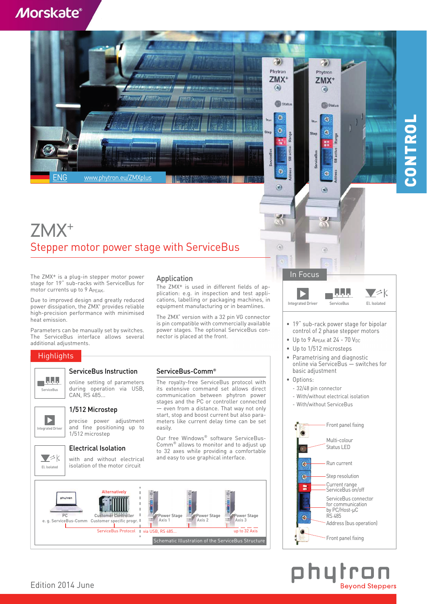### **Morskate®**



### ZMX+ Stepper motor power stage with ServiceBus

The ZMX+ is a plug-in stepper motor power stage for 19" sub-racks with ServiceBus for motor currents up to 9 APEAK.

Due to improved design and greatly reduced power dissipation, the ZMX<sup>+</sup> provides reliable high-precision performance with minimised heat emission.

Parameters can be manually set by switches. The ServiceBus interface allows several additional adjustments.

### **Highlights**

# $\blacksquare$

ServiceBus Instruction

online setting of parameters during operation via USB, CAN, RS 485... **ServiceBus** 

### 1/512 Microstep

precise power adjustment and fine positioning up to 1/512 microstep

### Electrical Isolation



eqrated Dr

 $\blacktriangleright$ 

with and without electrical isolation of the motor circuit

### Application

The ZMX+ is used in different fields of application: e.g. in inspection and test applications, labelling or packaging machines, in equipment manufacturing or in beamlines.

The ZMX<sup>+</sup> version with a 32 pin VG connector is pin compatible with commercially available power stages. The optional ServiceBus connector is placed at the front.

### ServiceBus-Comm®

The royalty-free ServiceBus protocol with its extensive command set allows direct communication between phytron power stages and the PC or controller connected — even from a distance. That way not only start, stop and boost current but also parameters like current delay time can be set easily.

Our free Windows® software ServiceBus-Comm® allows to monitor and to adjust up to 32 axes while providing a comfortable and easy to use graphical interface.



In Focus  $\nabla \hat{\otimes}\mathbf{k}$ Integrated Driver ServiceBus El. Isolated

**JPI** 

- 19" sub-rack power stage for bipolar control of 2 phase stepper motors
- Up to 9 A $_{PEAK}$  at 24 70  $V_{DC}$
- Up to 1/512 microsteps
- Parametrising and diagnostic online via ServiceBus — switches for basic adjustment
- Options:

 $21$ 

 $\left( \widehat{\omega} \right)$ 

- 32/48 pin connector
- With/without electrical isolation
- With/without ServiceBus



**COL Bevond Steppers** 

# CONTROL CONTROL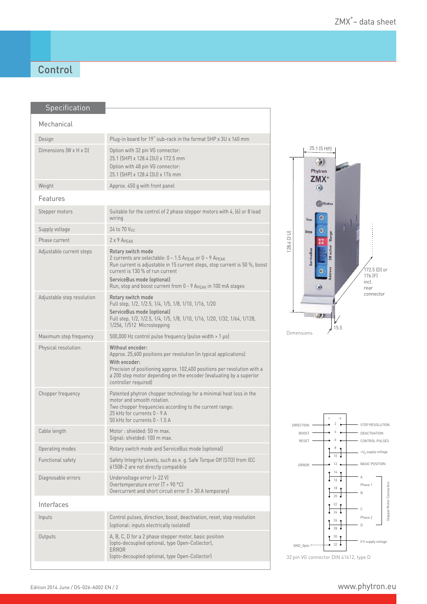### **Control**

|  | Specification              |                                                                                                                                                                                                                                                                                               |
|--|----------------------------|-----------------------------------------------------------------------------------------------------------------------------------------------------------------------------------------------------------------------------------------------------------------------------------------------|
|  | Mechanical                 |                                                                                                                                                                                                                                                                                               |
|  |                            |                                                                                                                                                                                                                                                                                               |
|  | Design                     | Plug-in board for 19" sub-rack in the format 5HP x 3U x 160 mm                                                                                                                                                                                                                                |
|  | Dimensions (W x H x D)     | Option with 32 pin VG connector:<br>25.1 (5HP) x 128.4 (3U) x 172.5 mm<br>Option with 48 pin VG connector:<br>25.1 (5HP) x 128.4 (3U) x 176 mm                                                                                                                                                |
|  | Weight                     | Approx. 450 g with front panel                                                                                                                                                                                                                                                                |
|  | Features                   |                                                                                                                                                                                                                                                                                               |
|  | Stepper motors             | Suitable for the control of 2 phase stepper motors with 4, (6) or 8 lead<br>wiring                                                                                                                                                                                                            |
|  | Supply voltage             | 24 to 70 Vnc                                                                                                                                                                                                                                                                                  |
|  | Phase current              | 2 x 9 APFAK                                                                                                                                                                                                                                                                                   |
|  | Adjustable current steps   | Rotary switch mode<br>2 currents are selectable: 0 - 1.5 APEAK or 0 - 9 APEAK<br>Run current is adjustable in 15 current steps, stop current is 50 %, boost<br>current is 130 % of run current<br>ServiceBus mode (optional)<br>Run, stop and boost current from 0 - 9 APEAK in 100 mA stages |
|  | Adjustable step resolution | Rotary switch mode<br>Full step, 1/2, 1/2.5, 1/4, 1/5, 1/8, 1/10, 1/16, 1/20<br>ServiceBus mode (optional)<br>Full step, 1/2, 1/2.5, 1/4, 1/5, 1/8, 1/10, 1/16, 1/20, 1/32, 1/64, 1/128,<br>1/256, 1/512 Microstepping                                                                        |
|  | Maximum step frequency     | 500,000 Hz control pulse frequency (pulse width > 1 µs)                                                                                                                                                                                                                                       |
|  | Physical resolution:       | Without encoder:<br>Approx. 25,600 positions per revolution (in typical applications)<br>With encoder:<br>Precision of positioning approx. 102,400 positions per revolution with a<br>a 200 step motor depending on the encoder (evaluating by a superior<br>controller required)             |
|  | Chopper frequency          | Patented phytron chopper technology for a minimal heat loss in the<br>motor and smooth rotation.<br>Two chopper frequencies according to the current range:<br>25 kHz for currents 0 - 9 A<br>50 kHz for currents 0 - 1.5 A                                                                   |
|  | Cable length               | Motor: shielded: 50 m max.<br>Signal: shielded: 100 m max.                                                                                                                                                                                                                                    |
|  | Operating modes            | Rotary switch mode and ServiceBus mode (optional)                                                                                                                                                                                                                                             |
|  | Functional safety          | Safety Integrity Levels, such as e. g. Safe Torque Off (STO) from IEC<br>61508-2 are not directly compatible                                                                                                                                                                                  |
|  | Diagnosable errors         | Undervoltage error (< 22 V)<br>Overtemperature error $(T > 90 °C)$<br>Overcurrent and short circuit error (I > 30 A temporary)                                                                                                                                                                |
|  | Interfaces                 |                                                                                                                                                                                                                                                                                               |
|  | Inputs                     | Control pulses, direction, boost, deactivation, reset, step resolution<br>(optional: inputs electrically isolated)                                                                                                                                                                            |
|  | Outputs                    | A, B, C, D for a 2 phase stepper motor, basic position<br>(opto-decoupled optional, type Open-Collector),<br><b>ERROR</b><br>(opto-decoupled optional, type Open-Collector)                                                                                                                   |
|  |                            |                                                                                                                                                                                                                                                                                               |





32 pin VG connector DIN 41612, type D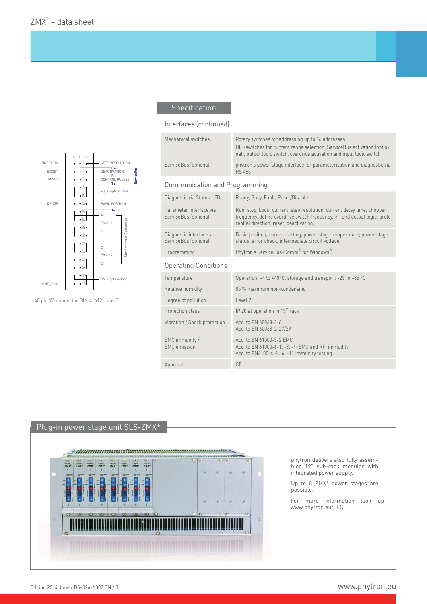

48 pin VG connector DIN 41612, type F

#### Specification

#### Interfaces (continued)

| Mechanical switches                               | Rotary switches for addressing up to 16 addresses<br>DIP-switches for current range selection, ServiceBus activation (optio-<br>nal), output logic switch, overdrive activation and input logic switch |  |  |  |  |
|---------------------------------------------------|--------------------------------------------------------------------------------------------------------------------------------------------------------------------------------------------------------|--|--|--|--|
| ServiceBus (optional)                             | phytron's power stage interface for parameterisation and diagnostic via<br><b>RS 485</b>                                                                                                               |  |  |  |  |
| Communication and Programming                     |                                                                                                                                                                                                        |  |  |  |  |
| Diagnostic via Status LED                         | Ready, Busy, Fault, Reset/Disable                                                                                                                                                                      |  |  |  |  |
| Parameter interface via<br>ServiceBus (optional)  | Run, stop, boost current, step resolution, current delay time, chopper<br>frequency, define overdrive switch frequency, in- and output logic, prefe-<br>rential direction, reset, deactivation,        |  |  |  |  |
| Diagnostic interface via<br>ServiceBus (optional) | Basic position, current setting, power stage temperature, power stage<br>status, error check, intermediate circuit voltage                                                                             |  |  |  |  |
| Programming                                       | Phytron's ServiceBus-Comm® for Windows®                                                                                                                                                                |  |  |  |  |
| <b>Operating Conditions</b>                       |                                                                                                                                                                                                        |  |  |  |  |
| Temperature                                       | Operation: +4 to +40°C, storage and transport: -25 to +85 °C                                                                                                                                           |  |  |  |  |
| Relative humidity                                 | 85 % maximum non-condensing                                                                                                                                                                            |  |  |  |  |
| Degree of pollution                               | Level 2                                                                                                                                                                                                |  |  |  |  |
| Protection class                                  | IP 20 at operation in 19" rack                                                                                                                                                                         |  |  |  |  |
| Vibration / Shock protection                      | Acc. to EN 60068-2-6<br>Acc. to EN 60068-2-27/29                                                                                                                                                       |  |  |  |  |
| EMC immunity /<br><b>EMC</b> emission             | Acc. to EN 61000-3-2 EMC<br>Acc. to EN 61000-6-1, -3, -4: EMC and RFI immudity<br>Acc. to EN6100-4-26, -11 immunity testing                                                                            |  |  |  |  |
| Approval                                          | CE                                                                                                                                                                                                     |  |  |  |  |
|                                                   |                                                                                                                                                                                                        |  |  |  |  |

## Plug-in power stage unit SLS-ZMX+



phytron delivers also fully assembled 19" sub-rack modules with integrated power supply.

Up to 8 ZMX<sup>+</sup> power stages are possible.

For more information look up www.phytron.eu/SLS